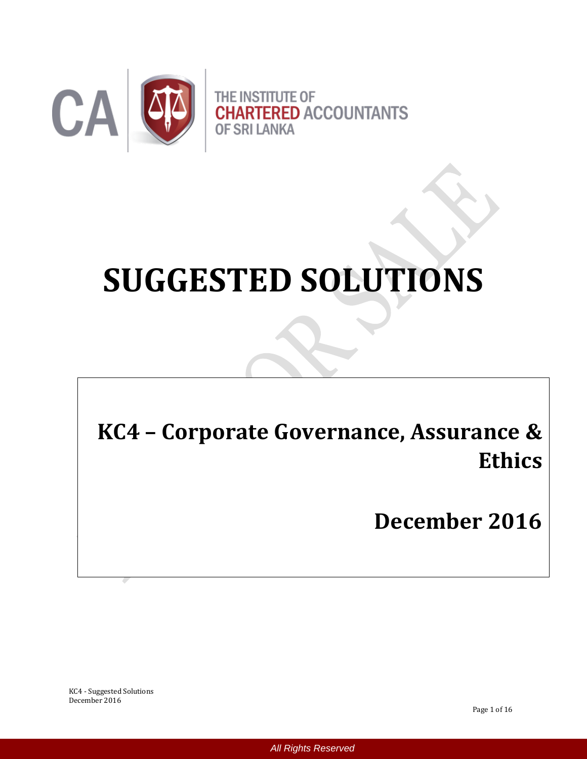

# **SUGGESTED SOLUTIONS**

**KC4 – Corporate Governance, Assurance & Ethics**

**December 2016**

KC4 - Suggested Solutions December 2016

Page 1 of 16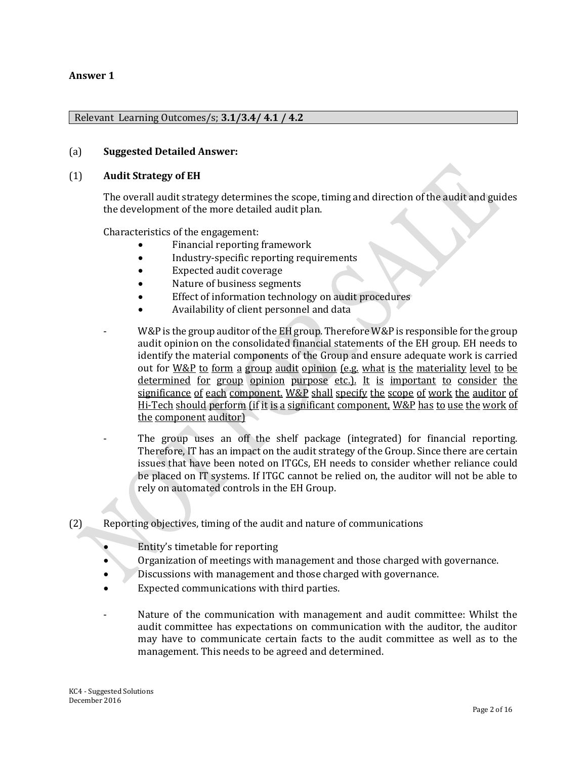#### **Answer 1**

#### Relevant Learning Outcomes/s; **3.1/3.4/ 4.1 / 4.2**

#### (a) **Suggested Detailed Answer:**

#### (1) **Audit Strategy of EH**

The overall audit strategy determines the scope, timing and direction of the audit and guides the development of the more detailed audit plan.

Characteristics of the engagement:

- Financial reporting framework
- Industry-specific reporting requirements
- Expected audit coverage
- Nature of business segments
- Effect of information technology on audit procedures
- Availability of client personnel and data
- W&P is the group auditor of the EH group. Therefore W&P is responsible for the group audit opinion on the consolidated financial statements of the EH group. EH needs to identify the material components of the Group and ensure adequate work is carried out for W&P to form a group audit opinion (e.g. what is the materiality level to be determined for group opinion purpose etc.). It is important to consider the significance of each component. W&P shall specify the scope of work the auditor of Hi-Tech should perform (if it is a significant component, W&P has to use the work of the component auditor)
- The group uses an off the shelf package (integrated) for financial reporting. Therefore, IT has an impact on the audit strategy of the Group. Since there are certain issues that have been noted on ITGCs, EH needs to consider whether reliance could be placed on IT systems. If ITGC cannot be relied on, the auditor will not be able to rely on automated controls in the EH Group.
- (2) Reporting objectives, timing of the audit and nature of communications
	- Entity's timetable for reporting
	- Organization of meetings with management and those charged with governance.
	- Discussions with management and those charged with governance.
	- Expected communications with third parties.
	- Nature of the communication with management and audit committee: Whilst the audit committee has expectations on communication with the auditor, the auditor may have to communicate certain facts to the audit committee as well as to the management. This needs to be agreed and determined.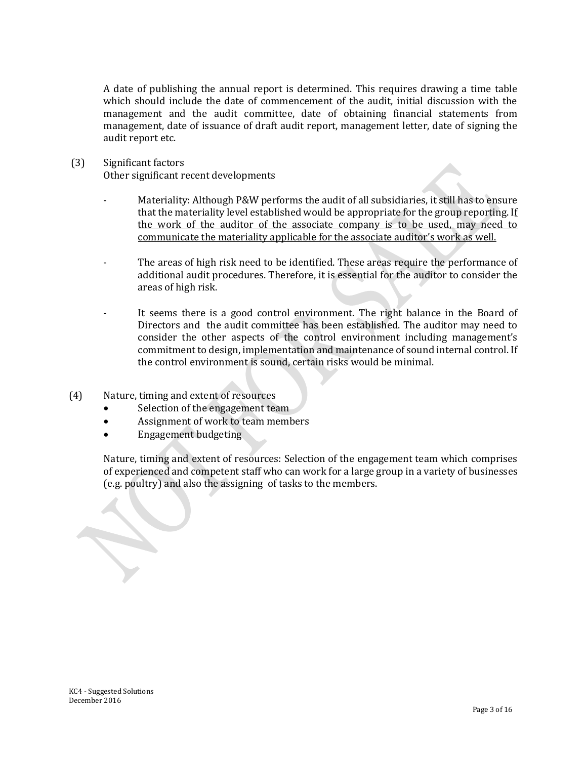A date of publishing the annual report is determined. This requires drawing a time table which should include the date of commencement of the audit, initial discussion with the management and the audit committee, date of obtaining financial statements from management, date of issuance of draft audit report, management letter, date of signing the audit report etc.

- (3) Significant factors Other significant recent developments
	- Materiality: Although P&W performs the audit of all subsidiaries, it still has to ensure that the materiality level established would be appropriate for the group reporting. If the work of the auditor of the associate company is to be used, may need to communicate the materiality applicable for the associate auditor's work as well.
	- The areas of high risk need to be identified. These areas require the performance of additional audit procedures. Therefore, it is essential for the auditor to consider the areas of high risk.
	- It seems there is a good control environment. The right balance in the Board of Directors and the audit committee has been established. The auditor may need to consider the other aspects of the control environment including management's commitment to design, implementation and maintenance of sound internal control. If the control environment is sound, certain risks would be minimal.
- (4) Nature, timing and extent of resources
	- Selection of the engagement team
	- Assignment of work to team members
	- Engagement budgeting

Nature, timing and extent of resources: Selection of the engagement team which comprises of experienced and competent staff who can work for a large group in a variety of businesses (e.g. poultry) and also the assigning of tasks to the members.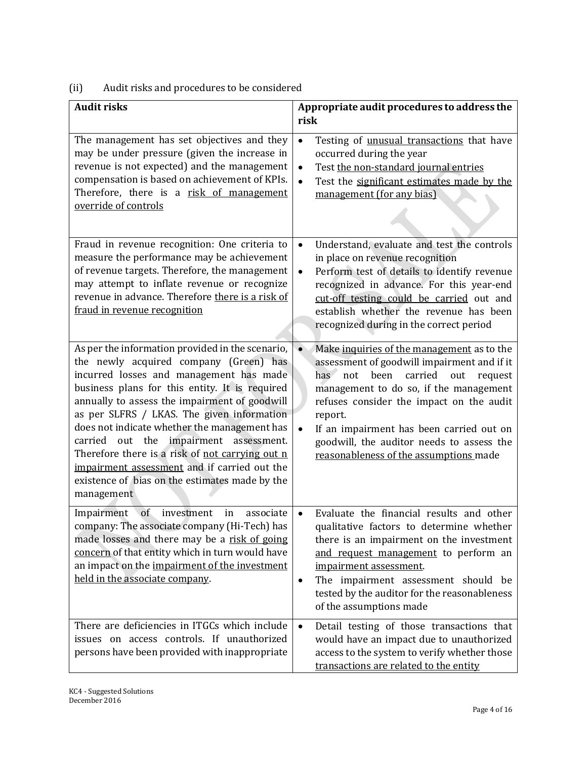# (ii) Audit risks and procedures to be considered

| <b>Audit risks</b>                                                                                                                                                                                                                                                                                                                                                                                                                                                                                                                                     | Appropriate audit procedures to address the<br>risk                                                                                                                                                                                                                                                                                                                                                        |
|--------------------------------------------------------------------------------------------------------------------------------------------------------------------------------------------------------------------------------------------------------------------------------------------------------------------------------------------------------------------------------------------------------------------------------------------------------------------------------------------------------------------------------------------------------|------------------------------------------------------------------------------------------------------------------------------------------------------------------------------------------------------------------------------------------------------------------------------------------------------------------------------------------------------------------------------------------------------------|
| The management has set objectives and they<br>may be under pressure (given the increase in<br>revenue is not expected) and the management<br>compensation is based on achievement of KPIs.<br>Therefore, there is a risk of management<br>override of controls                                                                                                                                                                                                                                                                                         | $\bullet$<br>Testing of unusual transactions that have<br>occurred during the year<br>Test the non-standard journal entries<br>$\bullet$<br>Test the significant estimates made by the<br>$\bullet$<br>management (for any bias)                                                                                                                                                                           |
| Fraud in revenue recognition: One criteria to<br>measure the performance may be achievement<br>of revenue targets. Therefore, the management<br>may attempt to inflate revenue or recognize<br>revenue in advance. Therefore there is a risk of<br>fraud in revenue recognition                                                                                                                                                                                                                                                                        | Understand, evaluate and test the controls<br>$\bullet$<br>in place on revenue recognition<br>Perform test of details to identify revenue<br>$\bullet$<br>recognized in advance. For this year-end<br>cut-off testing could be carried out and<br>establish whether the revenue has been<br>recognized during in the correct period                                                                        |
| As per the information provided in the scenario,<br>the newly acquired company (Green) has<br>incurred losses and management has made<br>business plans for this entity. It is required<br>annually to assess the impairment of goodwill<br>as per SLFRS / LKAS. The given information<br>does not indicate whether the management has<br>impairment assessment.<br>carried out the<br>Therefore there is a risk of not carrying out n<br>impairment assessment and if carried out the<br>existence of bias on the estimates made by the<br>management | Make inquiries of the management as to the<br>$\bullet$<br>assessment of goodwill impairment and if it<br>carried<br>has<br>not<br>been<br>out<br>request<br>management to do so, if the management<br>refuses consider the impact on the audit<br>report.<br>If an impairment has been carried out on<br>$\bullet$<br>goodwill, the auditor needs to assess the<br>reasonableness of the assumptions made |
| in<br>of<br>investment<br>associate<br>Impairment<br>company: The associate company (Hi-Tech) has<br>made losses and there may be a risk of going<br>concern of that entity which in turn would have<br>an impact on the impairment of the investment<br>held in the associate company.                                                                                                                                                                                                                                                                | Evaluate the financial results and other<br>$\bullet$<br>qualitative factors to determine whether<br>there is an impairment on the investment<br>and request management to perform an<br>impairment assessment.<br>The impairment assessment should be<br>$\bullet$<br>tested by the auditor for the reasonableness<br>of the assumptions made                                                             |
| There are deficiencies in ITGCs which include<br>issues on access controls. If unauthorized<br>persons have been provided with inappropriate                                                                                                                                                                                                                                                                                                                                                                                                           | Detail testing of those transactions that<br>$\bullet$<br>would have an impact due to unauthorized<br>access to the system to verify whether those<br>transactions are related to the entity                                                                                                                                                                                                               |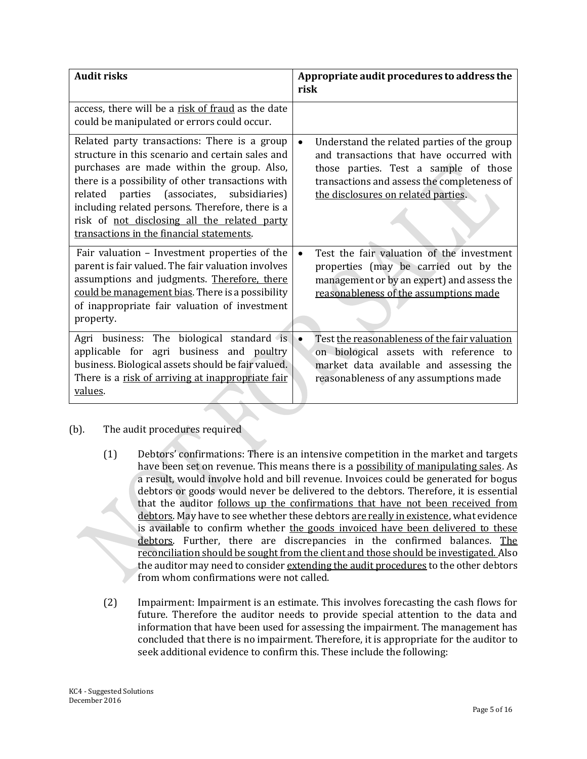| <b>Audit risks</b>                                                                                                                                                                                                                                                                                                                                                                                 | Appropriate audit procedures to address the<br>risk                                                                                                                                                                                 |
|----------------------------------------------------------------------------------------------------------------------------------------------------------------------------------------------------------------------------------------------------------------------------------------------------------------------------------------------------------------------------------------------------|-------------------------------------------------------------------------------------------------------------------------------------------------------------------------------------------------------------------------------------|
| access, there will be a risk of fraud as the date<br>could be manipulated or errors could occur.                                                                                                                                                                                                                                                                                                   |                                                                                                                                                                                                                                     |
| Related party transactions: There is a group<br>structure in this scenario and certain sales and<br>purchases are made within the group. Also,<br>there is a possibility of other transactions with<br>related parties (associates, subsidiaries)<br>including related persons. Therefore, there is a<br>risk of not disclosing all the related party<br>transactions in the financial statements. | Understand the related parties of the group<br>$\bullet$<br>and transactions that have occurred with<br>those parties. Test a sample of those<br>transactions and assess the completeness of<br>the disclosures on related parties. |
| Fair valuation - Investment properties of the<br>parent is fair valued. The fair valuation involves<br>assumptions and judgments. Therefore, there<br>could be management bias. There is a possibility<br>of inappropriate fair valuation of investment<br>property.                                                                                                                               | Test the fair valuation of the investment<br>$\bullet$<br>properties (may be carried out by the<br>management or by an expert) and assess the<br>reasonableness of the assumptions made                                             |
| Agri business: The biological standard is<br>applicable for agri business and poultry<br>business. Biological assets should be fair valued.<br>There is a risk of arriving at inappropriate fair<br>values.                                                                                                                                                                                        | Test the reasonableness of the fair valuation<br>$\bullet$<br>on biological assets with reference to<br>market data available and assessing the<br>reasonableness of any assumptions made                                           |

# (b). The audit procedures required

- (1) Debtors' confirmations: There is an intensive competition in the market and targets have been set on revenue. This means there is a possibility of manipulating sales. As a result, would involve hold and bill revenue. Invoices could be generated for bogus debtors or goods would never be delivered to the debtors. Therefore, it is essential that the auditor follows up the confirmations that have not been received from debtors. May have to see whether these debtors are really in existence, what evidence is available to confirm whether the goods invoiced have been delivered to these debtors. Further, there are discrepancies in the confirmed balances. The reconciliation should be sought from the client and those should be investigated. Also the auditor may need to consider extending the audit procedures to the other debtors from whom confirmations were not called.
- (2) Impairment: Impairment is an estimate. This involves forecasting the cash flows for future. Therefore the auditor needs to provide special attention to the data and information that have been used for assessing the impairment. The management has concluded that there is no impairment. Therefore, it is appropriate for the auditor to seek additional evidence to confirm this. These include the following: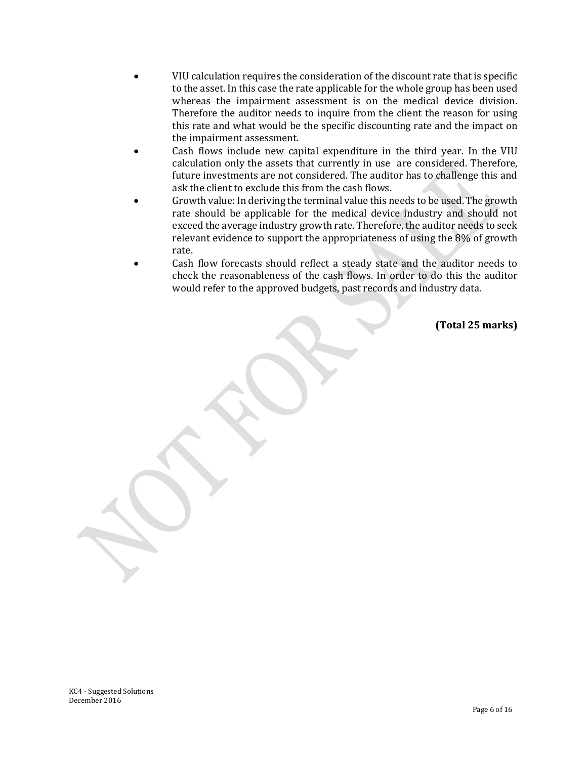- VIU calculation requires the consideration of the discount rate that is specific to the asset. In this case the rate applicable for the whole group has been used whereas the impairment assessment is on the medical device division. Therefore the auditor needs to inquire from the client the reason for using this rate and what would be the specific discounting rate and the impact on the impairment assessment.
- Cash flows include new capital expenditure in the third year. In the VIU calculation only the assets that currently in use are considered. Therefore, future investments are not considered. The auditor has to challenge this and ask the client to exclude this from the cash flows.
- Growth value: In deriving the terminal value this needs to be used. The growth rate should be applicable for the medical device industry and should not exceed the average industry growth rate. Therefore, the auditor needs to seek relevant evidence to support the appropriateness of using the 8% of growth rate.
- Cash flow forecasts should reflect a steady state and the auditor needs to check the reasonableness of the cash flows. In order to do this the auditor would refer to the approved budgets, past records and industry data.

**(Total 25 marks)**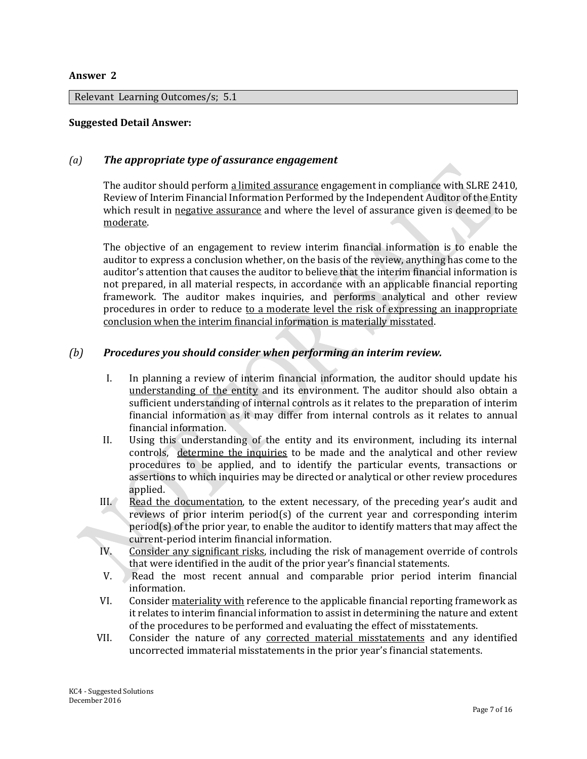#### **Answer 2**

Relevant Learning Outcomes/s; 5.1

#### **Suggested Detail Answer:**

#### *(a) The appropriate type of assurance engagement*

The auditor should perform a limited assurance engagement in compliance with SLRE 2410, Review of Interim Financial Information Performed by the Independent Auditor of the Entity which result in negative assurance and where the level of assurance given is deemed to be moderate.

The objective of an engagement to review interim financial information is to enable the auditor to express a conclusion whether, on the basis of the review, anything has come to the auditor's attention that causes the auditor to believe that the interim financial information is not prepared, in all material respects, in accordance with an applicable financial reporting framework. The auditor makes inquiries, and performs analytical and other review procedures in order to reduce to a moderate level the risk of expressing an inappropriate conclusion when the interim financial information is materially misstated.

#### *(b) Procedures you should consider when performing an interim review.*

- I. In planning a review of interim financial information, the auditor should update his understanding of the entity and its environment. The auditor should also obtain a sufficient understanding of internal controls as it relates to the preparation of interim financial information as it may differ from internal controls as it relates to annual financial information.
- II. Using this understanding of the entity and its environment, including its internal controls, determine the inquiries to be made and the analytical and other review procedures to be applied, and to identify the particular events, transactions or assertions to which inquiries may be directed or analytical or other review procedures applied.
- III. Read the documentation, to the extent necessary, of the preceding year's audit and reviews of prior interim period(s) of the current year and corresponding interim  $period(s)$  of the prior year, to enable the auditor to identify matters that may affect the current-period interim financial information.
- IV. Consider any significant risks, including the risk of management override of controls that were identified in the audit of the prior year's financial statements.
- V. Read the most recent annual and comparable prior period interim financial information.
- VI. Consider materiality with reference to the applicable financial reporting framework as it relates to interim financial information to assist in determining the nature and extent of the procedures to be performed and evaluating the effect of misstatements.
- VII. Consider the nature of any corrected material misstatements and any identified uncorrected immaterial misstatements in the prior year's financial statements.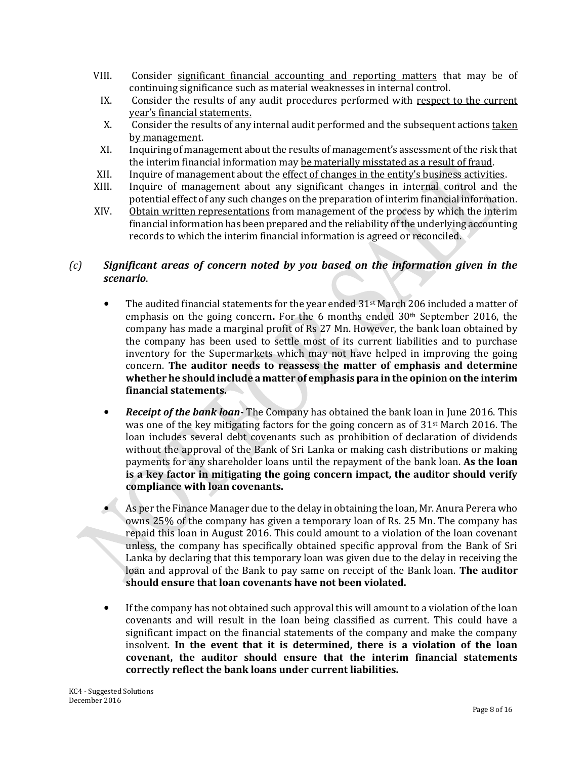- VIII. Consider significant financial accounting and reporting matters that may be of continuing significance such as material weaknesses in internal control.
	- IX. Consider the results of any audit procedures performed with respect to the current year's financial statements.
	- X. Consider the results of any internal audit performed and the subsequent actions taken by management.
- XI. Inquiring of management about the results of management's assessment of the risk that the interim financial information may be materially misstated as a result of fraud.
- XII. Inquire of management about the effect of changes in the entity's business activities.
- XIII. Inquire of management about any significant changes in internal control and the potential effect of any such changes on the preparation of interim financial information.
- XIV. Obtain written representations from management of the process by which the interim financial information has been prepared and the reliability of the underlying accounting records to which the interim financial information is agreed or reconciled.

# *(c) Significant areas of concern noted by you based on the information given in the scenario*.

- The audited financial statements for the year ended 31<sup>st</sup> March 206 included a matter of emphasis on the going concern**.** For the 6 months ended 30th September 2016, the company has made a marginal profit of Rs 27 Mn. However, the bank loan obtained by the company has been used to settle most of its current liabilities and to purchase inventory for the Supermarkets which may not have helped in improving the going concern. **The auditor needs to reassess the matter of emphasis and determine whether he should include a matter of emphasis para in the opinion on the interim financial statements.**
- *Receipt of the bank loan-* The Company has obtained the bank loan in June 2016. This was one of the key mitigating factors for the going concern as of 31st March 2016. The loan includes several debt covenants such as prohibition of declaration of dividends without the approval of the Bank of Sri Lanka or making cash distributions or making payments for any shareholder loans until the repayment of the bank loan. **As the loan is a key factor in mitigating the going concern impact, the auditor should verify compliance with loan covenants.**
- As per the Finance Manager due to the delay in obtaining the loan, Mr. Anura Perera who owns 25% of the company has given a temporary loan of Rs. 25 Mn. The company has repaid this loan in August 2016. This could amount to a violation of the loan covenant unless, the company has specifically obtained specific approval from the Bank of Sri Lanka by declaring that this temporary loan was given due to the delay in receiving the loan and approval of the Bank to pay same on receipt of the Bank loan. **The auditor should ensure that loan covenants have not been violated.**
- If the company has not obtained such approval this will amount to a violation of the loan covenants and will result in the loan being classified as current. This could have a significant impact on the financial statements of the company and make the company insolvent. **In the event that it is determined, there is a violation of the loan covenant, the auditor should ensure that the interim financial statements correctly reflect the bank loans under current liabilities.**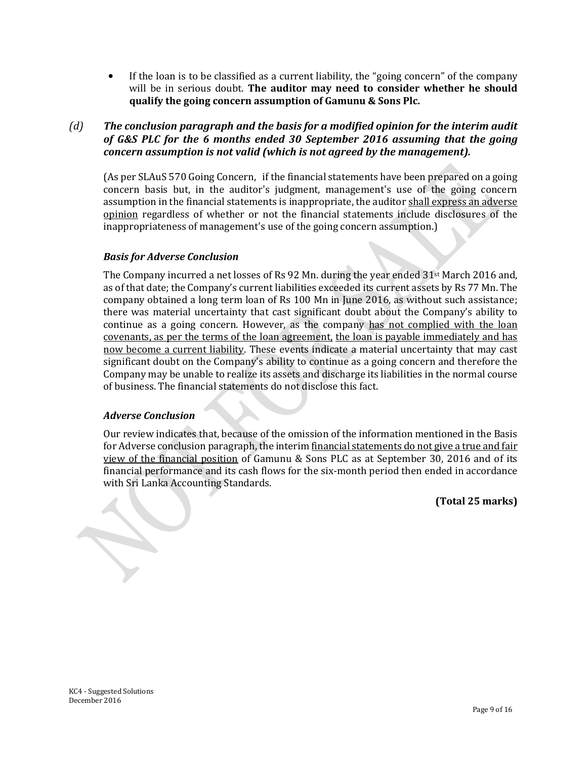• If the loan is to be classified as a current liability, the "going concern" of the company will be in serious doubt. **The auditor may need to consider whether he should qualify the going concern assumption of Gamunu & Sons Plc.**

*(d) The conclusion paragraph and the basis for a modified opinion for the interim audit of G&S PLC for the 6 months ended 30 September 2016 assuming that the going concern assumption is not valid (which is not agreed by the management).* 

(As per SLAuS 570 Going Concern, if the financial statements have been prepared on a going concern basis but, in the auditor's judgment, management's use of the going concern assumption in the financial statements is inappropriate, the auditor shall express an adverse opinion regardless of whether or not the financial statements include disclosures of the inappropriateness of management's use of the going concern assumption.)

#### *Basis for Adverse Conclusion*

The Company incurred a net losses of Rs 92 Mn. during the year ended 31st March 2016 and, as of that date; the Company's current liabilities exceeded its current assets by Rs 77 Mn. The company obtained a long term loan of Rs 100 Mn in June 2016, as without such assistance; there was material uncertainty that cast significant doubt about the Company's ability to continue as a going concern. However, as the company has not complied with the loan covenants, as per the terms of the loan agreement, the loan is payable immediately and has now become a current liability. These events indicate a material uncertainty that may cast significant doubt on the Company's ability to continue as a going concern and therefore the Company may be unable to realize its assets and discharge its liabilities in the normal course of business. The financial statements do not disclose this fact.

#### *Adverse Conclusion*

Our review indicates that, because of the omission of the information mentioned in the Basis for Adverse conclusion paragraph, the interim financial statements do not give a true and fair view of the financial position of Gamunu & Sons PLC as at September 30, 2016 and of its financial performance and its cash flows for the six-month period then ended in accordance with Sri Lanka Accounting Standards.

**(Total 25 marks)**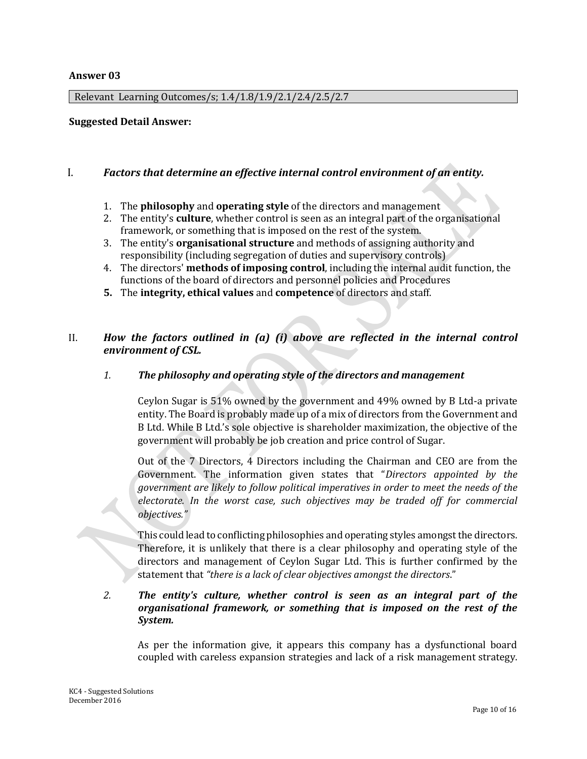#### **Answer 03**

Relevant Learning Outcomes/s; 1.4/1.8/1.9/2.1/2.4/2.5/2.7

#### **Suggested Detail Answer:**

#### I. *Factors that determine an effective internal control environment of an entity.*

- 1. The **philosophy** and **operating style** of the directors and management
- 2. The entity's **culture**, whether control is seen as an integral part of the organisational framework, or something that is imposed on the rest of the system.
- 3. The entity's **organisational structure** and methods of assigning authority and responsibility (including segregation of duties and supervisory controls)
- 4. The directors' **methods of imposing control**, including the internal audit function, the functions of the board of directors and personnel policies and Procedures
- **5.** The **integrity, ethical values** and **competence** of directors and staff.

# II. *How the factors outlined in (a) (i) above are reflected in the internal control environment of CSL.*

#### *1. The philosophy and operating style of the directors and management*

Ceylon Sugar is 51% owned by the government and 49% owned by B Ltd-a private entity. The Board is probably made up of a mix of directors from the Government and B Ltd. While B Ltd.'s sole objective is shareholder maximization, the objective of the government will probably be job creation and price control of Sugar.

Out of the 7 Directors, 4 Directors including the Chairman and CEO are from the Government. The information given states that "*Directors appointed by the government are likely to follow political imperatives in order to meet the needs of the electorate. In the worst case, such objectives may be traded off for commercial objectives."*

This could lead to conflicting philosophies and operating styles amongst the directors. Therefore, it is unlikely that there is a clear philosophy and operating style of the directors and management of Ceylon Sugar Ltd. This is further confirmed by the statement that *"there is a lack of clear objectives amongst the directors*."

#### *2. The entity's culture, whether control is seen as an integral part of the organisational framework, or something that is imposed on the rest of the System.*

As per the information give, it appears this company has a dysfunctional board coupled with careless expansion strategies and lack of a risk management strategy.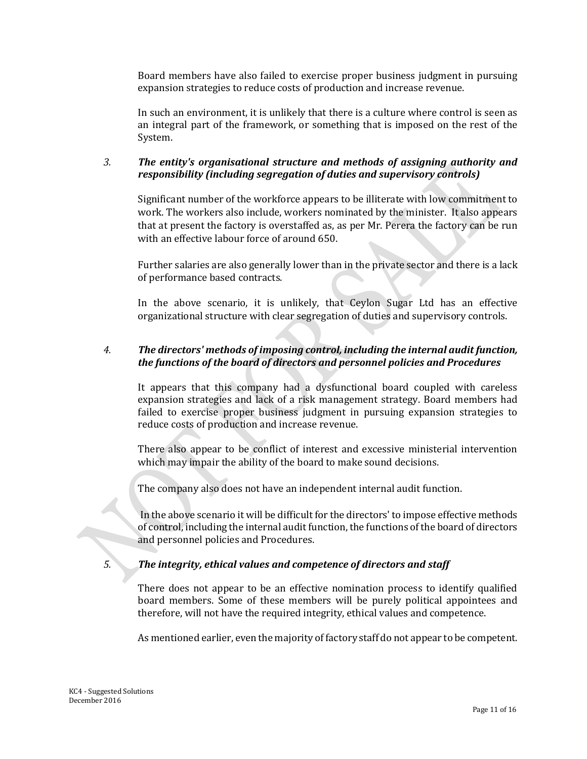Board members have also failed to exercise proper business judgment in pursuing expansion strategies to reduce costs of production and increase revenue.

In such an environment, it is unlikely that there is a culture where control is seen as an integral part of the framework, or something that is imposed on the rest of the System.

# *3. The entity's organisational structure and methods of assigning authority and responsibility (including segregation of duties and supervisory controls)*

Significant number of the workforce appears to be illiterate with low commitment to work. The workers also include, workers nominated by the minister. It also appears that at present the factory is overstaffed as, as per Mr. Perera the factory can be run with an effective labour force of around 650.

Further salaries are also generally lower than in the private sector and there is a lack of performance based contracts.

In the above scenario, it is unlikely, that Ceylon Sugar Ltd has an effective organizational structure with clear segregation of duties and supervisory controls.

#### *4. The directors' methods of imposing control, including the internal audit function, the functions of the board of directors and personnel policies and Procedures*

It appears that this company had a dysfunctional board coupled with careless expansion strategies and lack of a risk management strategy. Board members had failed to exercise proper business judgment in pursuing expansion strategies to reduce costs of production and increase revenue.

There also appear to be conflict of interest and excessive ministerial intervention which may impair the ability of the board to make sound decisions.

The company also does not have an independent internal audit function.

In the above scenario it will be difficult for the directors' to impose effective methods of control, including the internal audit function, the functions of the board of directors and personnel policies and Procedures.

# *5. The integrity, ethical values and competence of directors and staff*

There does not appear to be an effective nomination process to identify qualified board members. Some of these members will be purely political appointees and therefore, will not have the required integrity, ethical values and competence.

As mentioned earlier, even the majority of factory staff do not appear to be competent.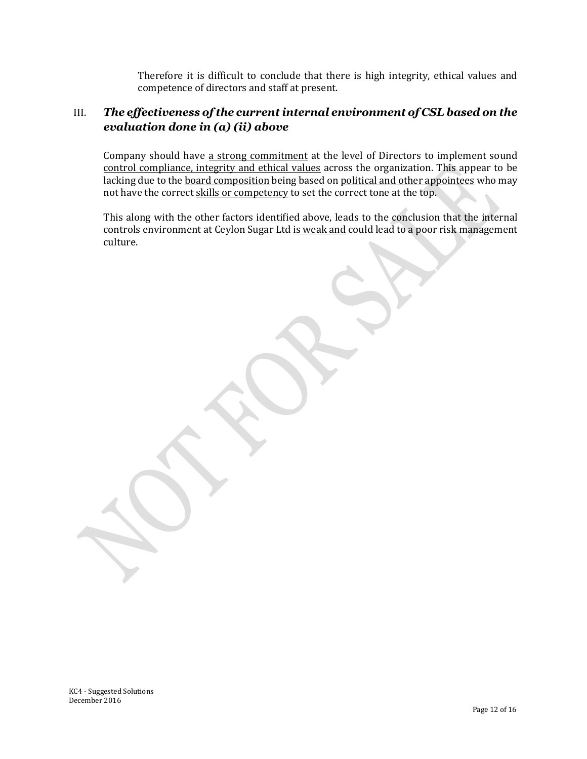Therefore it is difficult to conclude that there is high integrity, ethical values and competence of directors and staff at present.

# III. *The effectiveness of the current internal environment of CSL based on the evaluation done in (a) (ii) above*

Company should have a strong commitment at the level of Directors to implement sound control compliance, integrity and ethical values across the organization. This appear to be lacking due to the board composition being based on political and other appointees who may not have the correct skills or competency to set the correct tone at the top.

This along with the other factors identified above, leads to the conclusion that the internal controls environment at Ceylon Sugar Ltd is weak and could lead to a poor risk management culture.

KC4 - Suggested Solutions December 2016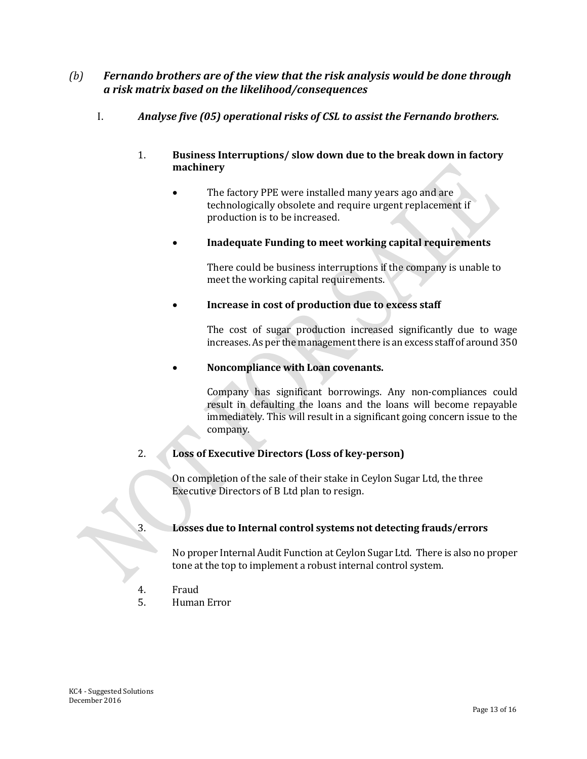# *(b) Fernando brothers are of the view that the risk analysis would be done through a risk matrix based on the likelihood/consequences*

I. *Analyse five (05) operational risks of CSL to assist the Fernando brothers.* 

#### 1. **Business Interruptions/ slow down due to the break down in factory machinery**

 The factory PPE were installed many years ago and are technologically obsolete and require urgent replacement if production is to be increased.

# **Inadequate Funding to meet working capital requirements**

There could be business interruptions if the company is unable to meet the working capital requirements.

#### **Increase in cost of production due to excess staff**

The cost of sugar production increased significantly due to wage increases. As per the management there is an excess staff of around 350

#### **Noncompliance with Loan covenants.**

Company has significant borrowings. Any non-compliances could result in defaulting the loans and the loans will become repayable immediately. This will result in a significant going concern issue to the company.

# 2. **Loss of Executive Directors (Loss of key-person)**

On completion of the sale of their stake in Ceylon Sugar Ltd, the three Executive Directors of B Ltd plan to resign.

# 3. **Losses due to Internal control systems not detecting frauds/errors**

No proper Internal Audit Function at Ceylon Sugar Ltd. There is also no proper tone at the top to implement a robust internal control system.

- 4. Fraud
- 5. Human Error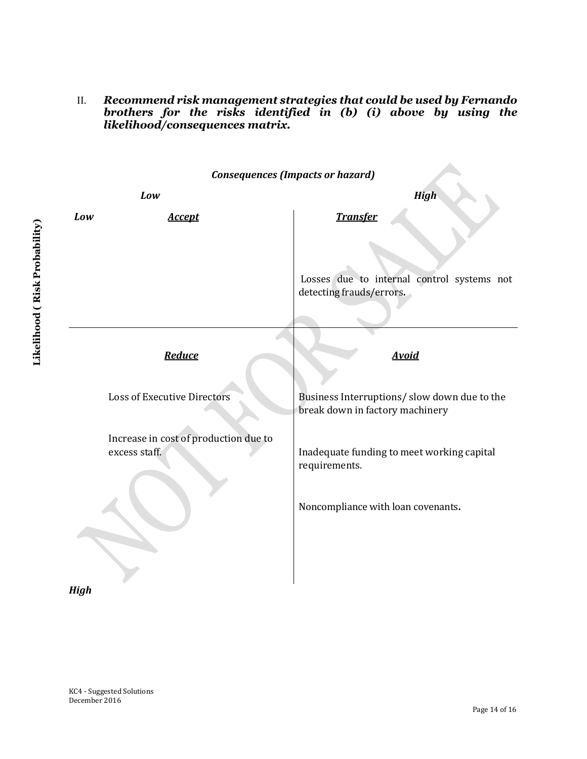II. *Recommend risk management strategies that could be used by Fernando brothers for the risks identified in (b) (i) above by using the likelihood/consequences matrix.*

*Consequences (Impacts or hazard) Low High Low Accept* **Transfer** Losses due to internal control systems not detecting frauds/errors**.** *Reduce* Loss of Executive Directors Increase in cost of production due to excess staff. *Avoid* Business Interruptions/ slow down due to the break down in factory machinery Inadequate funding to meet working capital requirements. Noncompliance with loan covenants**.**

*High*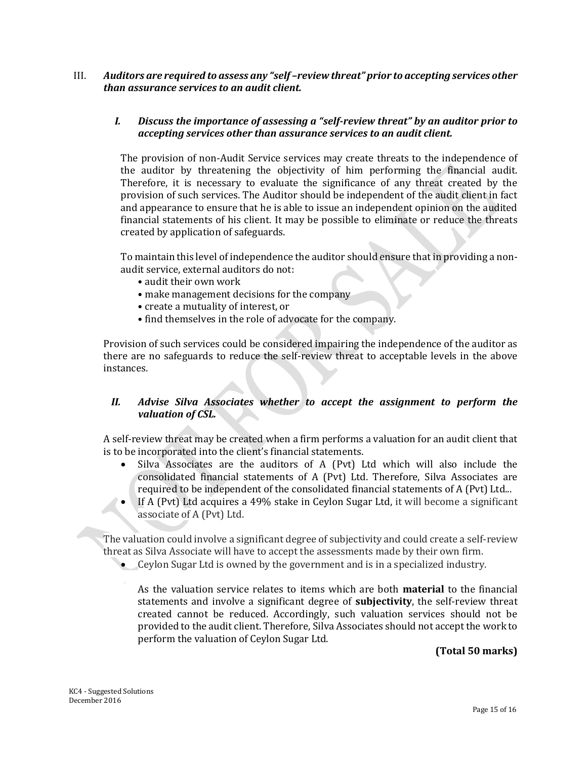#### III. *Auditors are required to assess any "self –review threat" prior to accepting services other than assurance services to an audit client.*

#### *I. Discuss the importance of assessing a "self-review threat" by an auditor prior to accepting services other than assurance services to an audit client.*

The provision of non-Audit Service services may create threats to the independence of the auditor by threatening the objectivity of him performing the financial audit. Therefore, it is necessary to evaluate the significance of any threat created by the provision of such services. The Auditor should be independent of the audit client in fact and appearance to ensure that he is able to issue an independent opinion on the audited financial statements of his client. It may be possible to eliminate or reduce the threats created by application of safeguards.

To maintain this level of independence the auditor should ensure that in providing a nonaudit service, external auditors do not:

- audit their own work
- make management decisions for the company
- create a mutuality of interest, or
- find themselves in the role of advocate for the company.

Provision of such services could be considered impairing the independence of the auditor as there are no safeguards to reduce the self-review threat to acceptable levels in the above instances.

# *II. Advise Silva Associates whether to accept the assignment to perform the valuation of CSL.*

A self-review threat may be created when a firm performs a valuation for an audit client that is to be incorporated into the client's financial statements.

- Silva Associates are the auditors of A (Pvt) Ltd which will also include the consolidated financial statements of A (Pvt) Ltd. Therefore, Silva Associates are required to be independent of the consolidated financial statements of A (Pvt) Ltd...
- If A (Pvt) Ltd acquires a 49% stake in Ceylon Sugar Ltd, it will become a significant associate of A (Pvt) Ltd.

The valuation could involve a significant degree of subjectivity and could create a self-review threat as Silva Associate will have to accept the assessments made by their own firm.

Ceylon Sugar Ltd is owned by the government and is in a specialized industry.

As the valuation service relates to items which are both **material** to the financial statements and involve a significant degree of **subjectivity**, the self-review threat created cannot be reduced. Accordingly, such valuation services should not be provided to the audit client. Therefore, Silva Associates should not accept the work to perform the valuation of Ceylon Sugar Ltd.

# **(Total 50 marks)**